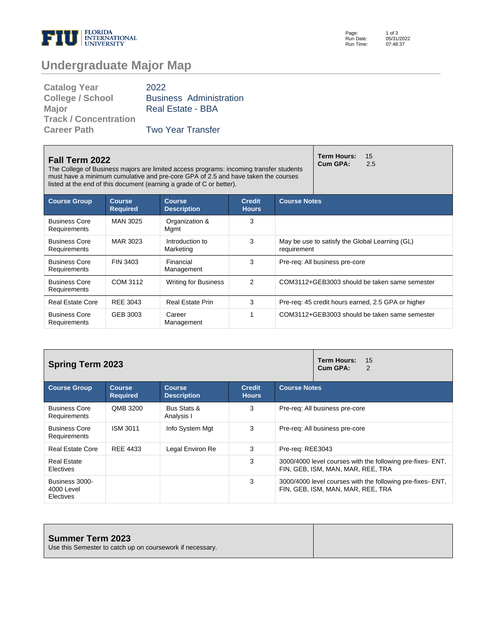

Page: Run Date: Run Time: 1 of 3 05/31/2022 07:48:37

# **Undergraduate Major Map**

| <b>Catalog Year</b>          | 2022                           |
|------------------------------|--------------------------------|
| <b>College / School</b>      | <b>Business Administration</b> |
| <b>Major</b>                 | <b>Real Estate - BBA</b>       |
| <b>Track / Concentration</b> |                                |
| <b>Career Path</b>           | <b>Two Year Transfer</b>       |

| Fall Term 2022<br>The College of Business majors are limited access programs: incoming transfer students<br>must have a minimum cumulative and pre-core GPA of 2.5 and have taken the courses<br>listed at the end of this document (earning a grade of C or better). |                                  |                                     |                               | <b>Term Hours:</b><br>15<br>Cum GPA:<br>2.5 |                                                    |
|-----------------------------------------------------------------------------------------------------------------------------------------------------------------------------------------------------------------------------------------------------------------------|----------------------------------|-------------------------------------|-------------------------------|---------------------------------------------|----------------------------------------------------|
| <b>Course Group</b>                                                                                                                                                                                                                                                   | <b>Course</b><br><b>Required</b> | <b>Course</b><br><b>Description</b> | <b>Credit</b><br><b>Hours</b> | <b>Course Notes</b>                         |                                                    |
| <b>Business Core</b><br>Requirements                                                                                                                                                                                                                                  | MAN 3025                         | Organization &<br>Mgmt              | 3                             |                                             |                                                    |
| <b>Business Core</b><br>Requirements                                                                                                                                                                                                                                  | MAR 3023                         | Introduction to<br>Marketing        | 3                             | requirement                                 | May be use to satisfy the Global Learning (GL)     |
| <b>Business Core</b><br><b>Requirements</b>                                                                                                                                                                                                                           | FIN 3403                         | Financial<br>Management             | 3                             |                                             | Pre-req: All business pre-core                     |
| <b>Business Core</b><br>Requirements                                                                                                                                                                                                                                  | COM 3112                         | <b>Writing for Business</b>         | 2                             |                                             | COM3112+GEB3003 should be taken same semester      |
| <b>Real Estate Core</b>                                                                                                                                                                                                                                               | REE 3043                         | <b>Real Estate Prin</b>             | 3                             |                                             | Pre-req: 45 credit hours earned, 2.5 GPA or higher |
| <b>Business Core</b><br>Requirements                                                                                                                                                                                                                                  | GEB 3003                         | Career<br>Management                |                               |                                             | COM3112+GEB3003 should be taken same semester      |

| <b>Spring Term 2023</b>                   |                                  |                                     | <b>Term Hours:</b><br>15<br>Cum GPA:<br>2 |                                                                                                 |
|-------------------------------------------|----------------------------------|-------------------------------------|-------------------------------------------|-------------------------------------------------------------------------------------------------|
| <b>Course Group</b>                       | <b>Course</b><br><b>Required</b> | <b>Course</b><br><b>Description</b> | <b>Credit</b><br><b>Hours</b>             | <b>Course Notes</b>                                                                             |
| <b>Business Core</b><br>Requirements      | QMB 3200                         | Bus Stats &<br>Analysis I           | 3                                         | Pre-reg: All business pre-core                                                                  |
| <b>Business Core</b><br>Requirements      | <b>ISM 3011</b>                  | Info System Mgt                     | 3                                         | Pre-reg: All business pre-core                                                                  |
| <b>Real Estate Core</b>                   | REE 4433                         | Legal Environ Re                    | 3                                         | Pre-reg: REE3043                                                                                |
| <b>Real Estate</b><br>Electives           |                                  |                                     | 3                                         | 3000/4000 level courses with the following pre-fixes- ENT.<br>FIN, GEB, ISM, MAN, MAR, REE, TRA |
| Business 3000-<br>4000 Level<br>Electives |                                  |                                     | 3                                         | 3000/4000 level courses with the following pre-fixes- ENT,<br>FIN, GEB, ISM, MAN, MAR, REE, TRA |

| <b>Summer Term 2023</b><br>Use this Semester to catch up on coursework if necessary. |  |
|--------------------------------------------------------------------------------------|--|
|                                                                                      |  |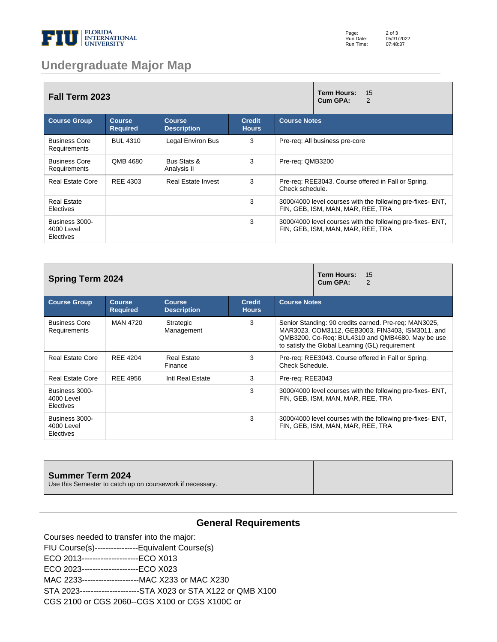

### **Undergraduate Major Map**

| <b>Fall Term 2023</b>                     |                                  |                                     |                               | Term Hours:<br>15<br>Cum GPA:<br>2                                                              |
|-------------------------------------------|----------------------------------|-------------------------------------|-------------------------------|-------------------------------------------------------------------------------------------------|
| <b>Course Group</b>                       | <b>Course</b><br><b>Required</b> | <b>Course</b><br><b>Description</b> | <b>Credit</b><br><b>Hours</b> | <b>Course Notes</b>                                                                             |
| <b>Business Core</b><br>Requirements      | <b>BUL 4310</b>                  | Legal Environ Bus                   | 3                             | Pre-req: All business pre-core                                                                  |
| <b>Business Core</b><br>Requirements      | QMB 4680                         | Bus Stats &<br>Analysis II          | 3                             | Pre-req: QMB3200                                                                                |
| <b>Real Estate Core</b>                   | REE 4303                         | <b>Real Estate Invest</b>           | 3                             | Pre-reg: REE3043. Course offered in Fall or Spring.<br>Check schedule.                          |
| <b>Real Estate</b><br><b>Electives</b>    |                                  |                                     | 3                             | 3000/4000 level courses with the following pre-fixes- ENT.<br>FIN, GEB, ISM, MAN, MAR, REE, TRA |
| Business 3000-<br>4000 Level<br>Electives |                                  |                                     | 3                             | 3000/4000 level courses with the following pre-fixes- ENT,<br>FIN, GEB, ISM, MAN, MAR, REE, TRA |

| <b>Spring Term 2024</b>                   |                                  |                                     | <b>Term Hours:</b><br>15<br>Cum GPA:<br>2 |                                                                                                                                                                                                                  |
|-------------------------------------------|----------------------------------|-------------------------------------|-------------------------------------------|------------------------------------------------------------------------------------------------------------------------------------------------------------------------------------------------------------------|
| <b>Course Group</b>                       | <b>Course</b><br><b>Required</b> | <b>Course</b><br><b>Description</b> | <b>Credit</b><br><b>Hours</b>             | <b>Course Notes</b>                                                                                                                                                                                              |
| <b>Business Core</b><br>Requirements      | <b>MAN 4720</b>                  | Strategic<br>Management             | 3                                         | Senior Standing: 90 credits earned. Pre-req: MAN3025,<br>MAR3023, COM3112, GEB3003, FIN3403, ISM3011, and<br>QMB3200. Co-Req: BUL4310 and QMB4680. May be use<br>to satisfy the Global Learning (GL) requirement |
| <b>Real Estate Core</b>                   | <b>REE 4204</b>                  | <b>Real Estate</b><br>Finance       | 3                                         | Pre-req: REE3043. Course offered in Fall or Spring.<br>Check Schedule.                                                                                                                                           |
| <b>Real Estate Core</b>                   | <b>REE 4956</b>                  | Intl Real Estate                    | 3                                         | Pre-reg: REE3043                                                                                                                                                                                                 |
| Business 3000-<br>4000 Level<br>Electives |                                  |                                     | 3                                         | 3000/4000 level courses with the following pre-fixes- ENT,<br>FIN, GEB, ISM, MAN, MAR, REE, TRA                                                                                                                  |
| Business 3000-<br>4000 Level<br>Electives |                                  |                                     | 3                                         | 3000/4000 level courses with the following pre-fixes- ENT,<br>FIN, GEB, ISM, MAN, MAR, REE, TRA                                                                                                                  |

# **Summer Term 2024** Use this Semester to catch up on coursework if necessary.

### **General Requirements**

Courses needed to transfer into the major: FIU Course(s)----------------Equivalent Course(s) ECO 2013---------------------ECO X013

ECO 2023---------------------ECO X023

MAC 2233---------------------MAC X233 or MAC X230

STA 2023----------------------STA X023 or STA X122 or QMB X100

CGS 2100 or CGS 2060--CGS X100 or CGS X100C or